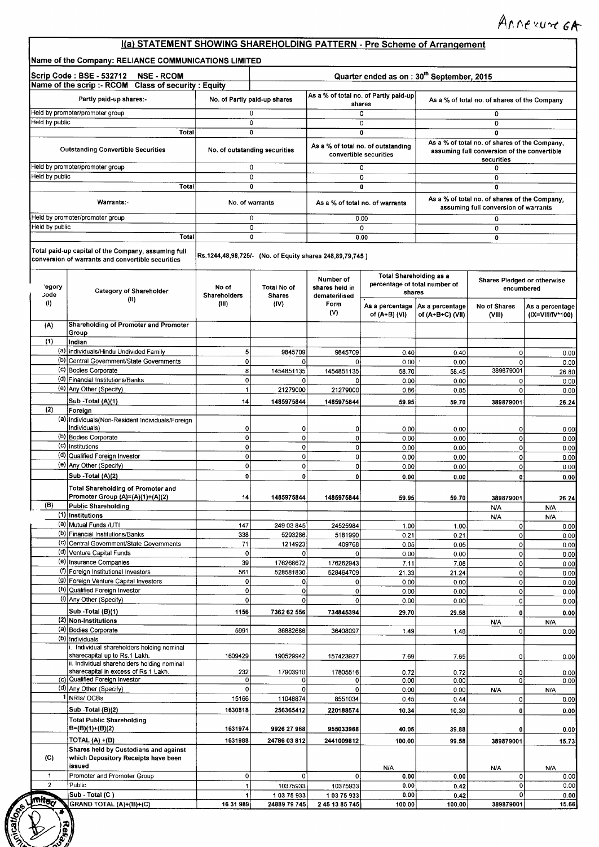### 1(a) STATEMENT SHOWING SHAREHOLDING PATTERN - **Pre Scheme** of Arrangement

|                                | Scrip Code: BSE - 532712 NSE - RCOM<br>Name of the scrip :- RCOM Class of security : Equity              |                                                          |                                     |                                 | Quarter ended as on: 30 <sup>th</sup> September, 2015           |                                     |                                                                                       |                                     |
|--------------------------------|----------------------------------------------------------------------------------------------------------|----------------------------------------------------------|-------------------------------------|---------------------------------|-----------------------------------------------------------------|-------------------------------------|---------------------------------------------------------------------------------------|-------------------------------------|
|                                | Partly paid-up shares:-                                                                                  | No. of Partly paid-up shares                             |                                     |                                 | As a % of total no. of Partly paid-up<br>shares                 |                                     | As a % of total no. of shares of the Company                                          |                                     |
|                                | Held by promoter/promoter group                                                                          | 0                                                        |                                     |                                 | 0                                                               |                                     | 0                                                                                     |                                     |
| Held by public                 |                                                                                                          | 0                                                        |                                     |                                 | 0                                                               |                                     | 0                                                                                     |                                     |
|                                | Total                                                                                                    | 0                                                        |                                     |                                 | 0<br>As a % of total no. of outstanding                         |                                     | $\overline{\mathbf{0}}$<br>As a % of total no. of shares of the Company,              |                                     |
|                                | <b>Outstanding Convertible Securities</b>                                                                | No. of outstanding securities                            |                                     |                                 | convertible securities                                          |                                     | assuming full conversion of the convertible<br>securities                             |                                     |
| Held by public                 | Held by promoter/promoter group                                                                          | 0<br>0                                                   |                                     |                                 | 0<br>0                                                          |                                     | 0<br>0                                                                                |                                     |
|                                | Total                                                                                                    | $\mathbf 0$                                              |                                     |                                 | $\overline{0}$                                                  |                                     | $\overline{\mathbf{0}}$                                                               |                                     |
|                                | Warrants:-                                                                                               | No. of warrants                                          |                                     |                                 | As a % of total no. of warrants                                 |                                     | As a % of total no. of shares of the Company,<br>assuming full conversion of warrants |                                     |
|                                | Held by promoter/promoter group                                                                          | 0                                                        |                                     |                                 | 0.00                                                            |                                     | 0                                                                                     |                                     |
| Held by public                 | Total                                                                                                    | 0<br>0                                                   |                                     |                                 | 0<br>0.00                                                       |                                     | 0<br>0                                                                                |                                     |
|                                | Total paid-up capital of the Company, assuming full<br>conversion of warrants and convertible securities | Rs.1244,48,98,725/- (No. of Equity shares 248,89,79,745) |                                     |                                 |                                                                 |                                     |                                                                                       |                                     |
|                                |                                                                                                          |                                                          |                                     | Number of                       | <b>Total Shareholding as a</b><br>percentage of total number of |                                     | Shares Pledged or otherwise                                                           |                                     |
| egory<br>Jode                  | <b>Category of Shareholder</b><br>(11)                                                                   | No of<br>Shareholders                                    | <b>Total No of</b><br><b>Shares</b> | shares held in<br>dematerilised | shares                                                          |                                     | encumbered                                                                            |                                     |
| $\langle 0 \rangle$            |                                                                                                          | (III)                                                    | (IV)                                | Form<br>(V)                     | As a percentage<br>of (A+B) (VI)                                | As a percentage<br>of (A+B+C) (VII) | No of Shares<br>(VIII)                                                                | As a percentage<br>(IX=VIII/IV*100) |
| (A)                            | Shareholding of Promoter and Promoter                                                                    |                                                          |                                     |                                 |                                                                 |                                     |                                                                                       |                                     |
| (1)                            | Group<br>Indian                                                                                          |                                                          |                                     |                                 |                                                                 |                                     |                                                                                       |                                     |
|                                | (a) individuals/Hindu Undivided Family                                                                   | 5                                                        | 9845709                             | 9845709                         | 0.40                                                            | 0.40                                | $\overline{0}$                                                                        |                                     |
|                                | (b) Central Government/State Governments                                                                 | $\Omega$                                                 | o                                   | 0                               | 0.00                                                            | 0.00                                | $\Omega$                                                                              |                                     |
|                                | (c) Bodies Corporate<br>(d) Financial Institutions/Banks                                                 | 8                                                        | 1454851135                          | 1454851135                      | 58.70                                                           | 58.45                               | 389879001                                                                             |                                     |
|                                | (e) Any Other (Specify)                                                                                  | $\Omega$<br>1                                            | οl<br>21279000                      | 0<br>21279000                   | 0.00<br>0.86                                                    | 0.00<br>0.85                        | 0<br>$\mathbf 0$                                                                      |                                     |
|                                | Sub -Total (A)(1)                                                                                        | 14                                                       | 1485975844                          | 1485975844                      | 59.95                                                           | 59.70                               | 389879001                                                                             |                                     |
| (2)                            | Foreign                                                                                                  |                                                          |                                     |                                 |                                                                 |                                     |                                                                                       |                                     |
|                                | (a) Individuals (Non-Resident Individuals/Foreign                                                        |                                                          |                                     |                                 |                                                                 |                                     |                                                                                       |                                     |
|                                | Individuals)<br>(b) Bodies Corporate                                                                     | $\Omega$<br>οI                                           | $\circ$<br>$\circ$                  | 0<br>0                          | 0.00                                                            | 0.00                                | 0                                                                                     |                                     |
|                                | (c) Institutions                                                                                         | $\Omega$                                                 | $\circ$                             | 0                               | 0.00<br>0.00                                                    | 0.00<br>0.00                        | 0<br>0                                                                                |                                     |
|                                | (d) Qualified Foreign Investor                                                                           | οI                                                       | $\overline{0}$                      | 0                               | 0.00                                                            | 0.00                                | $\Omega$                                                                              |                                     |
|                                | (e) Any Other (Specify)                                                                                  | $\Omega$                                                 | $\overline{0}$                      | 0                               | 0.00                                                            | 0.00                                | 0                                                                                     |                                     |
|                                | Sub - Total (A)(2)                                                                                       | $\mathbf{0}$                                             | $\mathbf{o}$                        | 0                               | 0.00                                                            | 0.00                                | $\Omega$                                                                              |                                     |
|                                | <b>Total Shareholding of Promoter and</b><br>Promoter Group (A)=(A)(1)+(A)(2)                            | 44                                                       | 1485975844                          | 1485975844                      | 59.95                                                           | 59.70                               | 389879001                                                                             |                                     |
| (B)                            | Public Shareholding                                                                                      |                                                          |                                     |                                 |                                                                 |                                     | N/A                                                                                   | N/A                                 |
|                                | $\overline{(1)}$ Institutions<br>(a) Mutual Funds /UTI                                                   | 147                                                      | 249 03 845                          |                                 |                                                                 |                                     | N/A                                                                                   | N/A                                 |
|                                | (b) Financial Institutions/Banks                                                                         | 338                                                      | 5293286                             | 24525984<br>5181990             | 1.00<br>0.21                                                    | 1.00<br>0.21                        | 0<br>0                                                                                |                                     |
|                                | (c) Central Government/State Governments                                                                 | 71                                                       | 1214923                             | 409768                          | 0.05                                                            | 0.05                                | $\mathbf 0$                                                                           |                                     |
|                                | (d) Venture Capital Funds                                                                                | $\overline{0}$                                           | $\overline{0}$                      | 0                               | 0.00                                                            | 0.00                                | 0                                                                                     |                                     |
|                                | (e) Insurance Companies                                                                                  | 39                                                       | 176268672                           | 176262943                       | 7.11                                                            | 7.08                                | 0                                                                                     |                                     |
|                                | (f) Foreign Institutional Investors                                                                      | 561                                                      | 528581830                           | 528464709                       | 21.33                                                           | 21.24                               | 0                                                                                     |                                     |
|                                | (9) Foreign Venture Capital Investors<br>(h) Qualified Foreign Investor                                  | $\overline{0}$<br>$\Omega$                               | $\Omega$<br>$\overline{0}$          | 0<br>0                          | 0.00<br>0.00                                                    | 0.00<br>0.00                        | $\mathbf 0$<br>$\mathbf 0$                                                            |                                     |
|                                | (i) Any Other (Specify)                                                                                  | $\overline{0}$                                           | $\Omega$                            | $\mathbf{0}$                    | 0.00                                                            | 0.00                                | 0                                                                                     |                                     |
|                                | Sub - Total (B)(1)                                                                                       | 1156                                                     | 7362 62 556                         | 734845394                       | 29.70                                                           | 29.58                               | 0                                                                                     |                                     |
|                                | $(2)$ Non-Institutions                                                                                   |                                                          |                                     |                                 |                                                                 |                                     | N/A                                                                                   | N/A                                 |
|                                | (a) Bodies Corporate<br>(b) Individuals                                                                  | 5991                                                     | 36882686                            | 36408097                        | 1.49                                                            | 1.48                                | 0                                                                                     |                                     |
|                                | i. Individual shareholders holding nominal                                                               |                                                          |                                     |                                 |                                                                 |                                     |                                                                                       |                                     |
|                                | sharecapital up to Rs.1 Lakh.<br>ii. Individual shareholders holding nominal                             | 1609429                                                  | 190529942                           | 157423927                       | 7.69                                                            | 7.65                                | 0                                                                                     |                                     |
|                                | sharecapital in excess of Rs.1 Lakh.                                                                     | 232                                                      | 17903910                            | 17805516                        | 0.72                                                            | 0.72                                | 0                                                                                     |                                     |
|                                | (c) Qualified Foreign Investor<br>(d) Any Other (Specify)                                                | $\Omega$                                                 | $\Omega$                            | 0                               | 0.00                                                            | 0.00                                | 0                                                                                     |                                     |
|                                | NRIS/OCBs                                                                                                | $\Omega$<br>15166                                        | $\mathbf 0$<br>11048874             | 0<br>8551034                    | 0.00<br>0.45                                                    | 0.00<br>0.44                        | N/A<br>0                                                                              | N/A                                 |
|                                | Sub - Total (B)(2)                                                                                       | 1630818                                                  | 256365412                           | 220188574                       | 10.34                                                           | 10.30                               | $\mathbf{0}$                                                                          |                                     |
|                                | <b>Total Public Shareholding</b>                                                                         |                                                          |                                     |                                 |                                                                 |                                     |                                                                                       |                                     |
|                                | $B=(B)(1)+(B)(2)$                                                                                        | 1631974                                                  | 9926 27 968                         | 955033968                       | 40.05                                                           | 39.88                               | 0                                                                                     |                                     |
|                                | TOTAL (A) +(B)                                                                                           | 1631988                                                  | 24786 03 812                        | 2441009812                      | 100.00                                                          | 99.58                               | 389879001                                                                             |                                     |
|                                | Shares held by Custodians and against<br>which Depository Receipts have been                             |                                                          |                                     |                                 |                                                                 |                                     |                                                                                       |                                     |
| (C)                            | issued<br>Promoter and Promoter Group                                                                    | ٥l                                                       | $\Omega$                            | 0                               | N/A<br>0.00                                                     | 0.00                                | N/A<br>οI                                                                             | N/A                                 |
|                                |                                                                                                          |                                                          |                                     |                                 | 0.00                                                            | 0.42                                | $\mathbf 0$                                                                           |                                     |
| $\mathbf{1}$<br>$\overline{2}$ | Public                                                                                                   |                                                          |                                     |                                 |                                                                 |                                     |                                                                                       |                                     |
| <b>Imite</b> o                 | Sub - Total (C)                                                                                          |                                                          | 10375933<br>10375933                | 10375933<br>10375933            | 0.00                                                            | 0.42                                | $\mathsf{o}$                                                                          |                                     |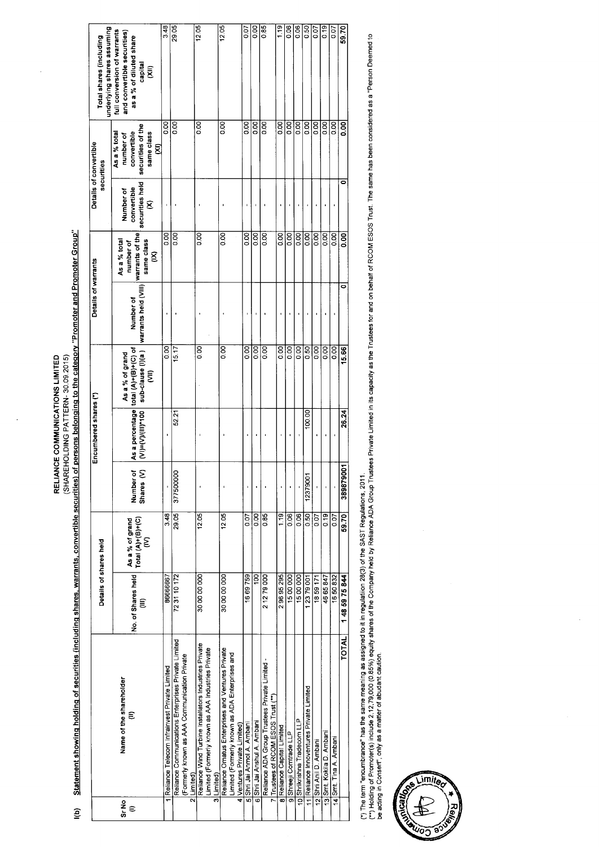Statement showing holding of securities (including shares, warrants, convertible securities) of persons belonging to the category "Promoter and Promoter Group" RELIANCE COMMUNICATIONS LIMITED<br>(SHAREHOLDING PATTERN- 30.09.2015)

l(b)

|            |                                                                                                                                    | Details of shares held  |                                              |                                                  | Encumbered shares (*) |                                                                                   | Details of warrants                                              |                                              |                                                  | Details of convertible<br>securities                                                                  | underlying shares assuming<br>Total shares (including                                                 |  |
|------------|------------------------------------------------------------------------------------------------------------------------------------|-------------------------|----------------------------------------------|--------------------------------------------------|-----------------------|-----------------------------------------------------------------------------------|------------------------------------------------------------------|----------------------------------------------|--------------------------------------------------|-------------------------------------------------------------------------------------------------------|-------------------------------------------------------------------------------------------------------|--|
| Sr No<br>€ | Name of the shareholder<br>€                                                                                                       | No. of Shares held<br>Ê | As a % of grand<br>Total (A)+(B)+(C)<br>(IV) | $\overline{\sigma} \Sigma$<br>Number<br>Shares ( | $(V)= (V)(III)^*100$  | As a percentage total (A)+(B)+(C) of<br>sub-clause (l)(a)<br>As a % of grand<br>ξ | warrants held (VIII)   <mark>warrants of the</mark><br>Number of | same class<br>As a % total<br>number of<br>g | securities held<br>convertible<br>Number of<br>8 | securities of the<br>convertible<br>As a % total<br>same class<br>number of<br>$\widehat{\mathsf{z}}$ | full conversion of warrants<br>and convertible securities)<br>as a % of diluted share<br>capital<br>夏 |  |
|            | Reliance Telecom Infrainvest Private Limited                                                                                       | 86666667                | 3.48                                         |                                                  |                       | $\overline{5}$                                                                    |                                                                  | 0.00                                         |                                                  | $\overline{0}$                                                                                        | 3.48                                                                                                  |  |
|            | Reliance Communications Enterprises Private Limited<br>(Formerly known as AAA Communication Private<br>Limited)<br>듧               | 723110172               | 29.05                                        | 377500000                                        | 52.21                 | 15.17                                                                             |                                                                  | oo.o                                         |                                                  | O.OO                                                                                                  | 29.05                                                                                                 |  |
|            | Reliance Wind Turbine Installators Industries Private<br>Limited (Formerly known as AAA Industries Private<br>3 Limited)           | 30 00 00 000            | 12.05                                        |                                                  |                       | 80                                                                                |                                                                  | 8<br>0.00                                    |                                                  | $\overline{50}$                                                                                       | 12.05                                                                                                 |  |
|            | Reliance Ornatus Enterprises and Ventures Private<br>Limited (Formerly known as ADA Enterprises and<br>4 Ventures Private Limited) | 30 00 00 000            | 12.05                                        |                                                  |                       | $\overline{0.00}$                                                                 |                                                                  | 8co                                          |                                                  | $\overline{5}$                                                                                        | 12.05                                                                                                 |  |
|            | 5 Shri Jai Anmol A. Ambani                                                                                                         | 1669759                 | 0.07                                         |                                                  |                       | 0.00                                                                              |                                                                  | 0.00                                         |                                                  | $\overline{0}$                                                                                        | 0.07                                                                                                  |  |
|            | 6 Shri Jai Anshul A. Ambani                                                                                                        | $\overline{100}$        | 0.00                                         |                                                  |                       | oo<br>O                                                                           |                                                                  | $\frac{8}{10}$                               |                                                  | 8 <sub>0</sub>                                                                                        | 0.00                                                                                                  |  |
|            | Reliance ADA Group Trustees Private Limited -<br>7 Trustees of RCOM ESOS Trust (**                                                 | 2 12 79 000             | 0.85                                         |                                                  |                       | 0.00                                                                              |                                                                  | ooo                                          |                                                  | 88                                                                                                    | 0.85                                                                                                  |  |
|            | 8 Reliance Capital Limited                                                                                                         | 29695295                | $\frac{1}{2}$                                |                                                  |                       | ool<br>O                                                                          |                                                                  | 0.00                                         |                                                  | 8<br>0.00                                                                                             | 1.19                                                                                                  |  |
|            | 9 Shreeji Comtrade LLP                                                                                                             | 1500000                 | 0.06                                         |                                                  |                       | 0.00                                                                              |                                                                  | 0.00                                         |                                                  | 8                                                                                                     | 0.06                                                                                                  |  |
|            | 10 Shrikrishna Tradecom LLP                                                                                                        | 1500000                 | $\frac{8}{20}$                               |                                                  |                       | $\overline{0}$                                                                    |                                                                  | 0.00                                         |                                                  | 0.00                                                                                                  | 0.06                                                                                                  |  |
|            | 11 Reliance Innoventures Private Limited                                                                                           | 12379001                | 0.50                                         | 1237900                                          | 100.00                | 0.50                                                                              |                                                                  | $\overline{5}$                               |                                                  | 800                                                                                                   | 0.50                                                                                                  |  |
|            | 12 Shri Anii D. Ambani                                                                                                             | 1859171                 | 0.07                                         |                                                  |                       | 8.00                                                                              |                                                                  | 8,00                                         |                                                  | 80                                                                                                    | S<br>S                                                                                                |  |
|            | 13 Smt. Kokila D. Amban                                                                                                            | 46 65 847               | $\frac{9}{2}$                                |                                                  |                       | $\overline{0.00}$                                                                 |                                                                  | $\overline{50}$                              |                                                  | 0.00                                                                                                  | 0.19                                                                                                  |  |
|            | 14 Smt. Tina A. Ambani                                                                                                             | 1650832                 | 0.07                                         |                                                  |                       | 0.00                                                                              |                                                                  | $\overline{0}$                               |                                                  | 0.00                                                                                                  | 0.07                                                                                                  |  |
|            | <b>TOTAL</b>                                                                                                                       | 1485975844              | 59.70                                        | 389879001                                        | 26.24                 | 15.66                                                                             |                                                                  | 80.0                                         | 0                                                | 0.00                                                                                                  | 59.70                                                                                                 |  |
|            |                                                                                                                                    |                         |                                              |                                                  |                       |                                                                                   |                                                                  |                                              |                                                  |                                                                                                       |                                                                                                       |  |

(\*) The term "encumbrance" has the same meaning as assigned to it in regulation 28(3) of the SAST Regulations, 2011.<br>(\*\*) Holding of Promoter(s) include 2,12,79,000 (0.85%) equity shares of the Company helding on the Sape

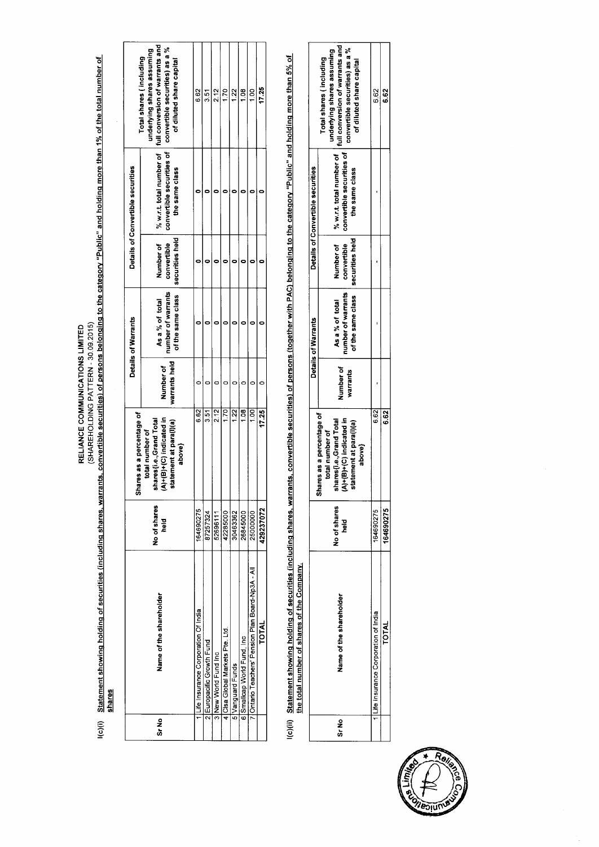RELIANCE COMMUNICATIONS LIMITED<br>(SHARE Solong to the Unities (including shares, warrants, convertible securities) of persons belonging to the category "Public" and holding more than 1% of the total number of<br>Shares

|       |                                                 |                      | Shares as a percentage of                                                                                      |                            | Details of Warrants                                        |                                             | Details of Convertible securities           |                                                                                                                                                                                   |
|-------|-------------------------------------------------|----------------------|----------------------------------------------------------------------------------------------------------------|----------------------------|------------------------------------------------------------|---------------------------------------------|---------------------------------------------|-----------------------------------------------------------------------------------------------------------------------------------------------------------------------------------|
| Sr No | Name of the shareholder                         | No of shares<br>held | $(A)+(B)+(C)$ indicated in<br>nares (i.e., Grand Total<br>statement at para(l)(a)<br>total number of<br>above) | warrants held<br>Number of | number of warrants<br>of the same class<br>As a % of total | securities held<br>Number of<br>convertible | convertible securities of<br>the same class | % w.r.t. total number of   full conversion of warrants and<br>convertible securities) as a %<br>underlying shares assuming<br>Total shares (including<br>of diluted share capital |
|       | Life Insurance Corporation Of India             | 164690275            | 6.62                                                                                                           |                            |                                                            |                                             |                                             | 6.62                                                                                                                                                                              |
|       | 2 Europacific Growth Fund                       | 87257324             | 3.51                                                                                                           |                            |                                                            |                                             |                                             | 3.51                                                                                                                                                                              |
|       | 3 New World Fund Inc                            | 52696111             | 2.12                                                                                                           |                            |                                                            |                                             |                                             | 2.12                                                                                                                                                                              |
|       | 4 Clsa Global Markets Pte. Ltd.                 | 42285000             | 1.70                                                                                                           |                            |                                                            |                                             |                                             | 1.70                                                                                                                                                                              |
|       | 5 Vanguard Funds                                | 30463362             | 1.22                                                                                                           |                            |                                                            |                                             |                                             | 1.22                                                                                                                                                                              |
|       | 6 Smallcap World Fund, Inc                      | 26845000             | 1.08                                                                                                           |                            |                                                            |                                             |                                             | $\frac{8}{1}$                                                                                                                                                                     |
|       | Ontario Teachers' Pension Plan Board-Np3A - All | 25000000             | 1,00                                                                                                           |                            |                                                            |                                             |                                             | $\frac{8}{10}$                                                                                                                                                                    |
|       | TOTAL                                           | 429237072            | 17.25                                                                                                          |                            |                                                            |                                             |                                             | 17.25                                                                                                                                                                             |

l(c)(ii) Statement showing holding of securities (including shares, warrants, convertible securities) of persons (together with PAC) belonging to the category "Public" and holding more than 5% of the total number of shares of the Company.

|       |                                    |                           |                                                                                                                                         |                       | Details of Warrants                                                                        |           | Details of Convertible securities           |                                                                                                                                                                                                                           |
|-------|------------------------------------|---------------------------|-----------------------------------------------------------------------------------------------------------------------------------------|-----------------------|--------------------------------------------------------------------------------------------|-----------|---------------------------------------------|---------------------------------------------------------------------------------------------------------------------------------------------------------------------------------------------------------------------------|
| Sr No | Name of the shareholder            | No of shares<br>beld<br>C | Shares as a percentage of<br>A)+(B)+(C) indicated in<br>shares(i.e.,Grand Total<br>statement at para(l)(a)<br>total number of<br>above) | Number of<br>warrants | of the same class   securities held<br>number of warrants   convertible<br>As a % of total | Number of | convertible securities of<br>the same class | $\frac{1}{2}$ % w.r.t. total number of $\frac{1}{2}$ full conversion of warrants and $\frac{1}{2}$<br>convertible securities) as a %<br>underlying shares assuming<br>Total shares (including<br>of diluted share capital |
|       | ife Insurance Corporation of India | 164690275                 | 6.62                                                                                                                                    |                       |                                                                                            |           |                                             | 62                                                                                                                                                                                                                        |
|       | <b>TOTAL</b>                       | 164690275                 | 62<br>6                                                                                                                                 |                       |                                                                                            |           |                                             | 6.62                                                                                                                                                                                                                      |

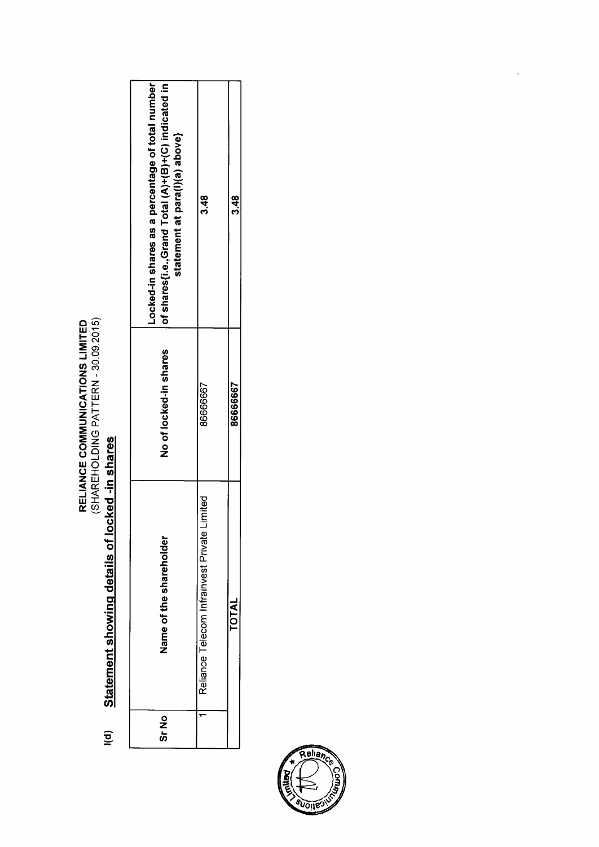RELIANCE COMMUNICATIONS LIMITED<br>(SHAREHOLDING PATTERN - 30.09.2015)

### Statement showing details of locked -in shares  $\frac{1}{2}$

| ას<br>ა | Name of the shareholder                         | No of locked-in shares | Locked-in shares as a percentage of total number<br>of shares(i.e.,Grand Total (A)+(B)+(C) indicated in<br>statement at para(l)(a) above} |
|---------|-------------------------------------------------|------------------------|-------------------------------------------------------------------------------------------------------------------------------------------|
|         | Limited<br>Reliance Telecom Infrainvest Private | 8666667                | ನೆ<br>ಎ                                                                                                                                   |
|         | TOTAI                                           | 86666667               | 3.48                                                                                                                                      |



 $\ddot{\phantom{a}}$ 

l,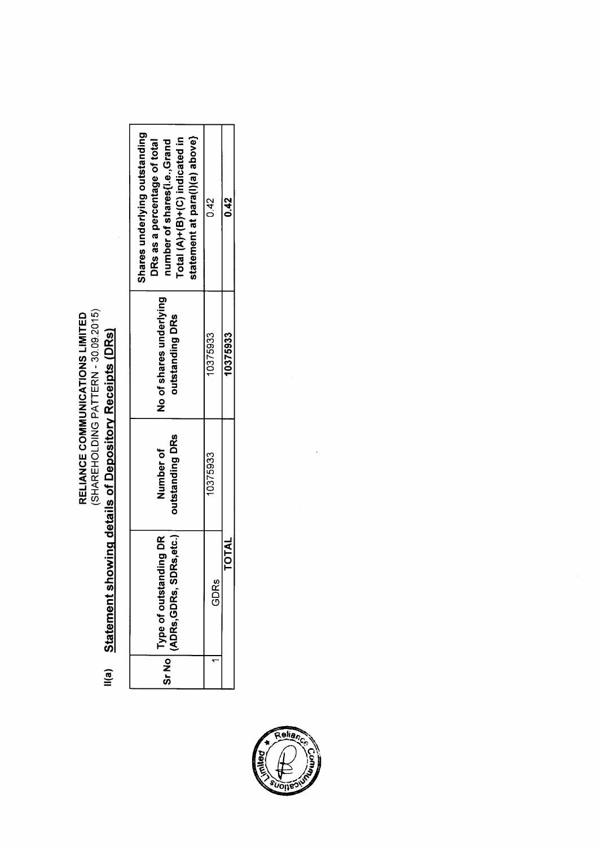

## Statement showing details of Depository Receipts (DRs)  $\mathsf{II}(\mathsf{a})$

| Shares underlying outstanding<br>statement at para(l)(a) above}<br>Total $(A)+(B)+(C)$ indicated in<br>DRs as a percentage of total<br>number of shares (i.e., Grand | 0.42     | 0.42         |
|----------------------------------------------------------------------------------------------------------------------------------------------------------------------|----------|--------------|
| No of shares underlying<br>outstanding DRs                                                                                                                           | 10375933 | 10375933     |
| outstanding DRs<br>Number of                                                                                                                                         | 10375933 |              |
| Rs,etc.)<br>ding DR<br>Sr No Type of outstand<br>ADRs,GDRs, SDI                                                                                                      | GDRs     | <b>TOTAL</b> |
|                                                                                                                                                                      |          |              |



 $\ddot{\phantom{0}}$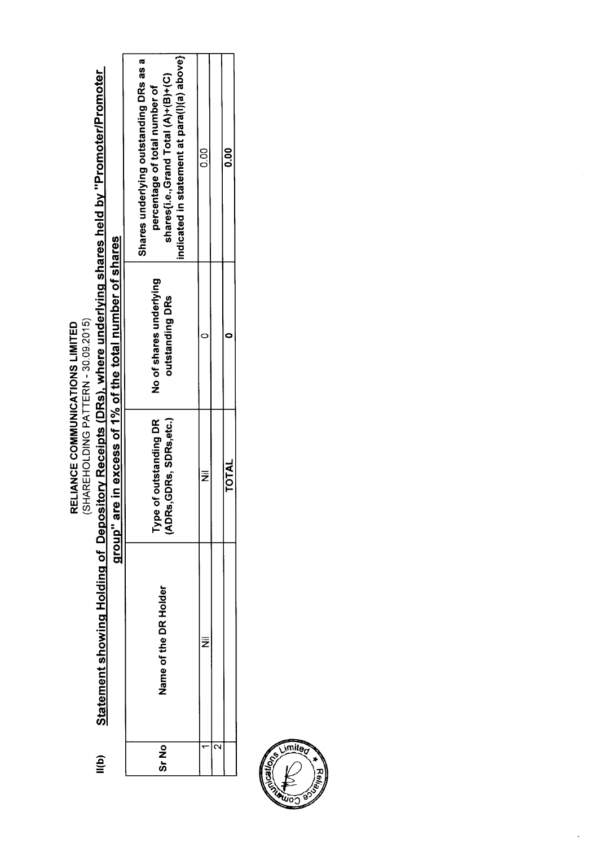RELIANCE COMMUNICATIONS LIMITED<br>(SHAREHOLDING PATTERN - 30.09.2015)

# Statement showing Holding of Depository Receipts (DRs), where underlying shares held by "Promoter/Promoter group" are in excess of 1% of the total number of shares  $\mathbf{I}(\mathbf{b})$

|         |                       | <br> <br>                                                            |                                            |                                                                                                                                                               |
|---------|-----------------------|----------------------------------------------------------------------|--------------------------------------------|---------------------------------------------------------------------------------------------------------------------------------------------------------------|
| ე<br>ან | Name of the DR Holder | Type of outstanding DR<br>ADRs,GDRs, SDRs,etc.)<br>of outstanding DR | No of shares underlying<br>outstanding DRs | indicated in statement at para(l)(a) above}<br>Shares underlying outstanding DRs as a<br>shares{i.e.,Grand Total (A)+(B)+(C)<br>percentage of total number of |
|         | Ξ                     | ż                                                                    |                                            | 0.00                                                                                                                                                          |
| C       |                       |                                                                      |                                            |                                                                                                                                                               |
|         |                       | <b>TOTAL</b>                                                         |                                            | <b>00.0</b>                                                                                                                                                   |

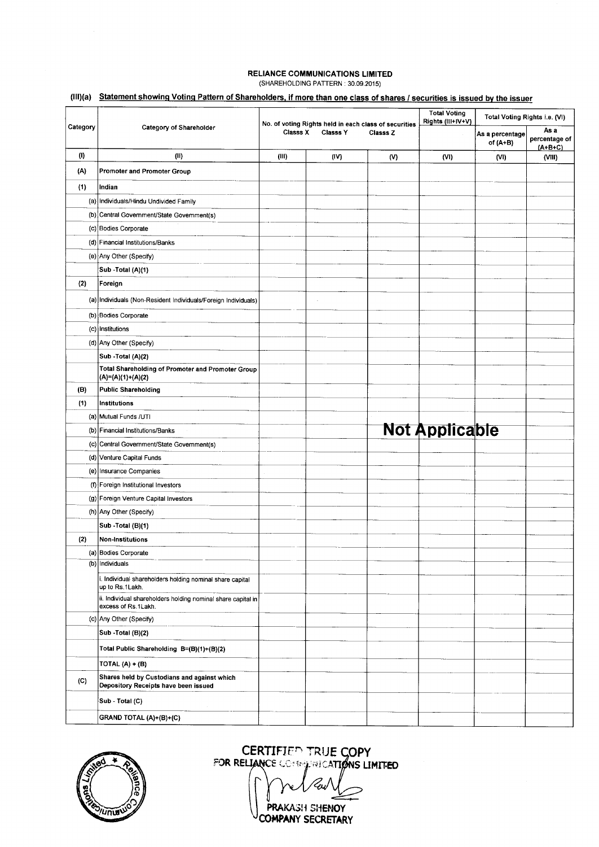### **RELIANCE COMMUNICATIONS LIMITED** (SHAREHOLDING PATTERN : 30.09.2015)

### (**III)(a) Statement showing Voting Pattern of Shareholders, if more than one class of shares** / **securities is issued by the issuer**

|          |                                                                                     |                 |                                                                          |          | <b>Total Voting</b><br>Rights (III+IV+V) | Total Voting Rights i.e. (VI) |                                    |
|----------|-------------------------------------------------------------------------------------|-----------------|--------------------------------------------------------------------------|----------|------------------------------------------|-------------------------------|------------------------------------|
| Category | Category of Shareholder                                                             | <b>Classs X</b> | No. of voting Rights held in each class of securities<br><b>Classs Y</b> | Classs Z |                                          | As a percentage<br>of $(A+B)$ | As a<br>percentage of<br>$(A+B+C)$ |
| (1)      | (11)                                                                                | (III)           | (IV)                                                                     | (V)      | (VI)                                     | (VI)                          | (VIII)                             |
| (A)      | Promoter and Promoter Group                                                         |                 |                                                                          |          |                                          |                               |                                    |
| (1)      | Indian                                                                              |                 |                                                                          |          |                                          |                               |                                    |
|          | (a) Individuals/Hindu Undivided Family                                              |                 |                                                                          |          |                                          |                               |                                    |
|          | (b) Central Government/State Government(s)                                          |                 |                                                                          |          |                                          |                               |                                    |
|          | (c) Bodies Corporate                                                                |                 |                                                                          |          |                                          |                               |                                    |
|          | (d) Financial Institutions/Banks                                                    |                 |                                                                          |          |                                          |                               |                                    |
|          | (e) Any Other (Specify)                                                             |                 |                                                                          |          |                                          |                               |                                    |
|          | Sub -Total (A)(1)                                                                   |                 |                                                                          |          |                                          |                               |                                    |
| (2)      | Foreign                                                                             |                 |                                                                          |          |                                          |                               |                                    |
|          | (a) Individuals (Non-Resident Individuals/Foreign Individuals)                      |                 |                                                                          |          |                                          |                               |                                    |
|          | (b) Bodies Corporate                                                                |                 |                                                                          |          |                                          |                               |                                    |
|          | (c) Institutions                                                                    |                 |                                                                          |          |                                          |                               |                                    |
|          | (d) Any Other (Specify)                                                             |                 |                                                                          |          |                                          |                               |                                    |
|          | Sub -Total (A)(2)                                                                   |                 |                                                                          |          |                                          |                               |                                    |
|          | Total Shareholding of Promoter and Promoter Group<br> (A)=(A)(1)+(A)(2)             |                 |                                                                          |          |                                          |                               |                                    |
| (B)      | Public Shareholding                                                                 |                 |                                                                          |          |                                          |                               |                                    |
| (1)      | Institutions                                                                        |                 |                                                                          |          |                                          |                               |                                    |
|          | (a) Mutual Funds / UTI                                                              |                 |                                                                          |          |                                          |                               |                                    |
| (b)      | Financial Institutions/Banks                                                        |                 |                                                                          |          | <b>Not Applicable</b>                    |                               |                                    |
|          | (c) Central Government/State Government(s)                                          |                 |                                                                          |          |                                          |                               |                                    |
|          | (d) Venture Capital Funds                                                           |                 |                                                                          |          |                                          |                               |                                    |
|          | (e) Insurance Companies                                                             |                 |                                                                          |          |                                          |                               |                                    |
|          | (f) Foreign Institutional Investors                                                 |                 |                                                                          |          |                                          |                               |                                    |
|          | (g) Foreign Venture Capital Investors                                               |                 |                                                                          |          |                                          |                               |                                    |
|          | (h) Any Other (Specify)                                                             |                 |                                                                          |          |                                          |                               |                                    |
|          | Sub - Total (B)(1)                                                                  |                 |                                                                          |          |                                          |                               |                                    |
| (2)      | <b>Non-Institutions</b>                                                             |                 |                                                                          |          |                                          |                               |                                    |
|          | (a) Bodies Corporate                                                                |                 |                                                                          |          |                                          |                               |                                    |
|          | (b)   Individuals                                                                   |                 |                                                                          |          |                                          |                               |                                    |
|          | i. Individual shareholders holding nominal share capital<br>up to Rs.1Lakh.         |                 |                                                                          |          |                                          |                               |                                    |
|          | ii. Individual shareholders holding nominal share capital in<br>excess of Rs.1Lakh. |                 |                                                                          |          |                                          |                               |                                    |
|          | (c) Any Other (Specify)                                                             |                 |                                                                          |          |                                          |                               |                                    |
|          | Sub -Total (B)(2)                                                                   |                 |                                                                          |          |                                          |                               |                                    |
|          | Total Public Shareholding B=(B)(1)+(B)(2)                                           |                 |                                                                          |          |                                          |                               |                                    |
|          | TOTAL (A) + (B)                                                                     |                 |                                                                          |          |                                          |                               |                                    |
| (C)      | Shares held by Custodians and against which<br>Depository Receipts have been issued |                 |                                                                          |          |                                          |                               |                                    |
|          | Sub - Total (C)                                                                     |                 |                                                                          |          |                                          |                               |                                    |
|          | GRAND TOTAL (A)+(B)+(C)                                                             |                 |                                                                          |          |                                          |                               |                                    |



CERTIFIED TRUE COPY **FOR RELIANCE CORRICATIONS LIMITED** 

PRAKASH SHENOY COMPANY SECRETARY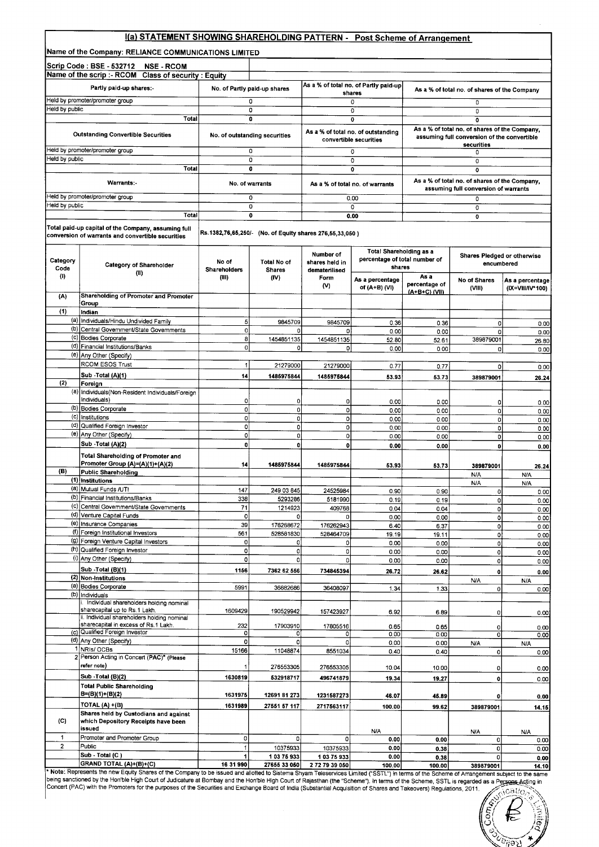### **1(a) STATEMENT SHOWING SHAREHOLDING** PATTERN - **Post Scheme of Arrangement**

**Name of the Company** : RELIANCE COMMUNICATIONS **LIMITED**

|                  | Name of the Company: RELIANCE COMMUNICATIONS LIMITED                                                     |                              |                                                          |                                 |                                                              |                       |                                                                                              |                                     |
|------------------|----------------------------------------------------------------------------------------------------------|------------------------------|----------------------------------------------------------|---------------------------------|--------------------------------------------------------------|-----------------------|----------------------------------------------------------------------------------------------|-------------------------------------|
|                  | Scrip Code : BSE - 532712<br><b>NSE - RCOM</b>                                                           |                              |                                                          |                                 |                                                              |                       |                                                                                              |                                     |
|                  | Name of the scrip :- RCOM<br><b>Class of security: Equity</b>                                            |                              |                                                          |                                 |                                                              |                       |                                                                                              |                                     |
|                  | Partly paid-up shares:-                                                                                  |                              | No. of Partly paid-up shares                             |                                 | As a % of total no. of Partly paid-up<br>shares              |                       | As a % of total no. of shares of the Company                                                 |                                     |
| Held by public   | Held by promoter/promoter group                                                                          |                              | 0                                                        |                                 | 0                                                            |                       | 0                                                                                            |                                     |
|                  | Total                                                                                                    |                              | 0<br>0                                                   |                                 | 0<br>0                                                       |                       | 0<br>$\overline{0}$                                                                          |                                     |
|                  | <b>Outstanding Convertible Securities</b>                                                                |                              | No. of outstanding securities                            |                                 | As a % of total no. of outstanding<br>convertible securities |                       | As a % of total no. of shares of the Company,<br>assuming full conversion of the convertible |                                     |
|                  | Held by promoter/promoter group                                                                          |                              | 0                                                        |                                 | 0                                                            |                       | securities<br>0                                                                              |                                     |
| Held by public   | Total                                                                                                    |                              | 0<br>0                                                   |                                 | 0<br>Ő                                                       |                       | 0<br>$\mathbf 0$                                                                             |                                     |
|                  | Warrants:-                                                                                               |                              |                                                          |                                 |                                                              |                       | As a % of total no. of shares of the Company,                                                |                                     |
|                  | Held by promoter/promoter group                                                                          |                              | No. of warrants<br>0                                     |                                 | As a % of total no. of warrants<br>0.00                      |                       | assuming full conversion of warrants<br>0                                                    |                                     |
| Held by public   |                                                                                                          |                              | 0                                                        |                                 | 0                                                            |                       | 0                                                                                            |                                     |
|                  | Total                                                                                                    |                              | 0                                                        |                                 | 0.00                                                         |                       | $\bullet$                                                                                    |                                     |
|                  | Total paid-up capital of the Company, assuming full<br>conversion of warrants and convertible securities |                              | Rs.1382,76,65,250/- (No. of Equity shares 276,55,33,050) |                                 |                                                              |                       |                                                                                              |                                     |
|                  |                                                                                                          |                              |                                                          | Number of                       | Total Shareholding as a                                      |                       | Shares Pledged or otherwise                                                                  |                                     |
| Category<br>Code | <b>Category of Shareholder</b><br>(11)                                                                   | No of<br><b>Shareholders</b> | <b>Total No of</b><br><b>Shares</b>                      | shares held in<br>dematerilised | percentage of total number of<br>shares                      |                       | encumbered                                                                                   |                                     |
| (I)              |                                                                                                          | (III)                        | (IV)                                                     | Form<br>(V)                     | As a percentage<br>of (A+B) (VI)                             | As a<br>percentage of | No of Shares<br>(VIII)                                                                       | As a percentage<br>(IX=VIII/IV*100) |
| (A)              | Shareholding of Promoter and Promoter<br>Group                                                           |                              |                                                          |                                 |                                                              | (A+B+C) (VII)         |                                                                                              |                                     |
| (1)              | Indian                                                                                                   |                              |                                                          |                                 |                                                              |                       |                                                                                              |                                     |
|                  | (a) Individuals/Hindu Undivided Family                                                                   | 5 <sub>l</sub>               | 9845709                                                  | 9845709                         | 0.36                                                         | 0.36                  | 0                                                                                            | 0.00                                |
|                  | (b) Central Government/State Governments<br>(c) Bodies Corporate                                         | o                            | 0                                                        | o                               | 0.00                                                         | 0.00                  | 0                                                                                            | 0.00                                |
|                  | (d) Financial Institutions/Banks                                                                         | 8<br>οI                      | 1454851135<br>0                                          | 1454851135<br>o                 | 52.80<br>0.00                                                | 52.61                 | 389879001                                                                                    | 26.80                               |
|                  | (e) Any Other (Specify)                                                                                  |                              |                                                          |                                 |                                                              | 0.00                  | 0                                                                                            | 0.00                                |
|                  | RCOM ESOS Trust                                                                                          | $\mathbf{1}$                 | 21279000                                                 | 21279000                        | 0.77                                                         | 0.77                  | $\mathbf 0$                                                                                  | 0.00                                |
|                  | Sub -Total (A)(1)                                                                                        | 14                           | 1485975844                                               | 1485975844                      | 53.93                                                        | 53.73                 | 389879001                                                                                    | 26.24                               |
| (2)              | Foreign                                                                                                  |                              |                                                          |                                 |                                                              |                       |                                                                                              |                                     |
|                  | (a) Individuals (Non-Resident Individuals/Foreign<br>Individuals)                                        | ٥I                           | 0                                                        | $\Omega$                        | 0.00                                                         |                       |                                                                                              |                                     |
|                  | (b) Bodies Corporate                                                                                     | ٥l                           | o                                                        | o                               | 0.00                                                         | 0.00<br>0.00          | 0<br>$\mathbf 0$                                                                             | 0.00<br>0.00                        |
|                  | (c) Institutions                                                                                         | ٥l                           | 0                                                        | $\overline{0}$                  | 0.00                                                         | 0.00                  | 0                                                                                            | 0.00                                |
|                  | (d) Qualified Foreign Investor                                                                           | ol                           | O                                                        | 0                               | 0.00                                                         | 0.00                  | 0                                                                                            | 0.00                                |
|                  | (e) Any Other (Specify)<br>Sub -Total (A)(2)                                                             | ٥l<br>0                      | 0<br>$\mathbf{0}$                                        | $\overline{0}$                  | 0.00                                                         | 0.00                  | 0                                                                                            | 0.00                                |
|                  | Total Shareholding of Promoter and<br>Promoter Group (A)=(A)(1)+(A)(2)                                   | 14                           | 1485975844                                               | $\mathbf{0}$<br>1485975844      | 0.00<br>53.93                                                | 0.00<br>53.73         | $\mathbf 0$<br>389879001                                                                     | 0.00<br>26.24                       |
| (B)              | Public Shareholding                                                                                      |                              |                                                          |                                 |                                                              |                       | N/A                                                                                          | <b>N/A</b>                          |
|                  | (1) Institutions<br>(a) Mutual Funds /UT!                                                                |                              |                                                          |                                 |                                                              |                       | <b>N/A</b>                                                                                   | N/A                                 |
|                  | (b) Financial Institutions/Banks                                                                         | 147<br>338                   | 249 03 845<br>5293286                                    | 24525984<br>5181990             | 0.90<br>0.19                                                 | 0.90<br>0.19          | 0<br>$\mathbf 0$                                                                             | 0.00<br>0.00 <sub>l</sub>           |
|                  | (c) Central Government/State Governments                                                                 | 71                           | 1214923                                                  | 409768                          | 0.04                                                         | 0.04                  | 0                                                                                            | 0.00                                |
|                  | (d) Venture Capital Funds                                                                                | $\circ$                      | 0                                                        |                                 | 0.00                                                         | 0.00                  | 0                                                                                            | 0.00                                |
|                  | (e) Insurance Companies<br>(f) Foreign Institutional Investors                                           | 39<br>561                    | 176268672<br>528581830                                   | 176262943                       | 6.40                                                         | 6.37                  | 0                                                                                            | 0.00                                |
|                  | (9) Foreign Venture Capital Investors                                                                    | o                            | 0                                                        | 528464709<br>o                  | 19.19<br>0.00                                                | 19.11<br>0.00         | O<br>$\mathsf{o}$                                                                            | 0.00<br>0.00                        |
|                  | (h) Qualified Foreign Investor                                                                           | $\circ$                      | $\mathfrak{o}$                                           | $\circ$                         | 0.00                                                         | 0.00                  | $\circ$                                                                                      | 0.00                                |
|                  | (i) Any Other (Specify)                                                                                  | $\circ$                      | 0                                                        | ol                              | 0.00                                                         | 0.00                  | 0                                                                                            | 0.00                                |
|                  | Sub -Total (B)(1)<br>(2) Non-Institutions                                                                | 1156                         | 7362 62 556                                              | 734845394                       | 26.72                                                        | 26.62                 | $\bullet$                                                                                    | 0.00                                |
|                  | (a) Bodies Corporate                                                                                     | 5991                         | 36882686                                                 | 36408097                        | 1.34                                                         |                       | <b>N/A</b><br>0                                                                              | N/A                                 |
|                  | (b) Individuals                                                                                          |                              |                                                          |                                 |                                                              | 1.33                  |                                                                                              | 0.00                                |
|                  | Individual shareholders holding nominal<br>sharecapital up to Rs.1 Lakh.                                 |                              |                                                          |                                 |                                                              |                       |                                                                                              |                                     |
|                  | ii. Individual shareholders holding nominal                                                              | 1609429                      | 190529942                                                | 157423927                       | 6.92                                                         | 6.89                  | 0                                                                                            | 0.00                                |
|                  | sharecapital in excess of Rs.1 Lakh.<br>(c) Qualified Foreign Investor                                   | 232                          | 17903910                                                 | 17805516                        | 0.65                                                         | 0.65                  | 0                                                                                            | 0.00                                |
|                  | (d) Any Other (Specify)                                                                                  | $\circ$<br>$\Omega$          | o<br>٥۱                                                  | οl<br>οl                        | 0.00<br>0.00                                                 | 0.00<br>0.00          | 0<br><b>N/A</b>                                                                              | 0.00                                |
|                  | 1 NRIS/OCBs                                                                                              | 15166                        | 11048874                                                 | 8551034                         | 0.40                                                         | 0.40                  | $\mathbf 0$                                                                                  | N/A<br>0.00                         |
|                  | 2 Person Acting in Concert (PAC)* (Please<br>refer note)                                                 |                              | 276553305                                                | 276553305                       | 10.04                                                        | 10.00                 | 0                                                                                            |                                     |
|                  | Sub - Total (B)(2)                                                                                       | 1630819                      | 532918717                                                | 496741879                       | 19.34                                                        | 19.27                 | $\mathbf 0$                                                                                  | 0.00<br>0.00                        |
|                  | <b>Total Public Shareholding</b>                                                                         |                              |                                                          |                                 |                                                              |                       |                                                                                              |                                     |
|                  | B=(B)(1)+(B)(2)                                                                                          | 1631975                      | 12691 81 273                                             | 1231587273                      | 46.07                                                        | 45.89                 | 0                                                                                            | 0.00                                |
|                  | TOTAL (A) +(B)<br>Shares held by Custodians and against                                                  | 1631989                      | 27551 57 117                                             | 2717563117                      | 100.00                                                       | 99 62                 | 389879001                                                                                    | 14.15                               |
| (C)              | which Depository Receipts have been<br>issued                                                            |                              |                                                          |                                 |                                                              |                       |                                                                                              |                                     |
| $\mathbf{1}$     | Promoter and Promoter Group                                                                              | 0                            | O.                                                       | 0                               | N/A<br>0.00                                                  | 0.00                  | <b>N/A</b><br>0                                                                              | N/A<br>0.00                         |
| $\overline{2}$   | Public                                                                                                   |                              | 10375933                                                 | 10375933                        | 0.00                                                         | 0.38                  | 0                                                                                            | 0.00                                |
|                  | Sub - Total (C)                                                                                          | 1                            | 103 75 933                                               | 10375933                        | 0.00                                                         | 0.38                  | 0                                                                                            | 0.00                                |
|                  | GRAND TOTAL (A)+(B)+(C)                                                                                  | 16 31 990                    | 27655 33 050                                             | 2.72.79.39.050                  | 100.00                                                       | 100.00                | 300070004                                                                                    |                                     |

**2 0.00 0**.**38 0 0.00** GRAND TOTAL (**A)+(B)+**(**C) 1631990** <sup>1</sup> **27655 33 050 2 72 79 39 010** <sup>1</sup> **100.00 <sup>100</sup>**.**<sup>00</sup> <sup>389879001</sup> 14.10 Note** : Represents the new Equity Shares of the Company to be issued and allotted to Sistema Shyam Teleservices Limited ("SSTL") in terms of the Scheme of Arrangement subject to the same being sanctioned by the Hon'ble High Court of Judicature at Bombay and the Hon'ble High Court of Rajasthan (the "Scheme"). In terms of the Scheme, SSTL is regarded as a Pejsoas.Acting in Concert (PAC) with the Promoters for the purposes of the Securities and Exchange Board of India (Substantial Acquisition of Shares and Takeovers) Regulations, 2011. $\sqrt{c}$ atio

 $\tilde{\tilde{\sigma}}$ 

 $\widetilde{\varepsilon_{\eta\Theta}}$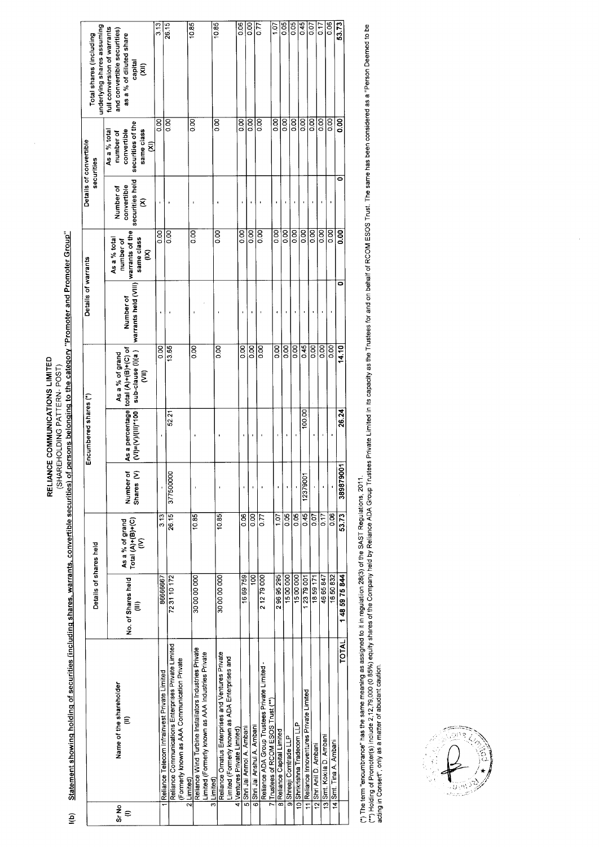Statement showing holding of securities (including shares, warrants, convertible securities) of persons belonging to the category "Promoter and Promoter Group" RELIANCE COMMUNICATIONS LIMITED (SHAREHOLDING PATTERN-POST)

 $\ddot{e}$ 

|            |                                                                                                                   | Details of shares held  |                                           |                                    | Encumbered shares (*) |                                                                                   | Details of warrants                                             |                                              |                                                  | Details of convertible<br>securities                                                                  | underlying shares assuming<br>Total shares (including                                                  |  |
|------------|-------------------------------------------------------------------------------------------------------------------|-------------------------|-------------------------------------------|------------------------------------|-----------------------|-----------------------------------------------------------------------------------|-----------------------------------------------------------------|----------------------------------------------|--------------------------------------------------|-------------------------------------------------------------------------------------------------------|--------------------------------------------------------------------------------------------------------|--|
| Sr No<br>€ | Name of the shareholder<br>€                                                                                      | No. of Shares held<br>€ | As a % of grand<br>Total (A)+(B)+(C)<br>ξ | Shares <sub>(V)</sub><br>Number of | $(V)= (V)/(11)^*100$  | As a percentage total (A)+(B)+(C) of<br>sub-clause (l)(a)<br>As a % of grand<br>ξ | warrants held (VIII)  <mark>warrants of the</mark><br>Number of | same class<br>As a % total<br>number of<br>g | securities held<br>convertible<br>Number of<br>g | securities of the<br>convertible<br>same class<br>As a % total<br>number of<br>$\widehat{\mathsf{g}}$ | full conversion of warrants<br>and convertible securities)<br>as a % of diluted share<br>capital<br>ξÎ |  |
|            |                                                                                                                   | 8666667                 | 313                                       |                                    |                       | $\overline{000}$                                                                  |                                                                 | 0.00                                         | ï                                                | $\overline{5}$                                                                                        | 3.13                                                                                                   |  |
|            | <b>Reliance Telecom Infrainvest Private Limited</b>                                                               |                         |                                           |                                    |                       |                                                                                   |                                                                 | $\overline{0.00}$                            |                                                  | oo                                                                                                    | 26.15                                                                                                  |  |
|            | Reliance Communications Enterprises Private Limited<br>(Formerly known as AAA Communication Private<br>2 Limited) | 723110172               | 26.15                                     | 377500000                          | 52.21                 | 13.65                                                                             |                                                                 |                                              |                                                  |                                                                                                       |                                                                                                        |  |
|            | Reliance Wind Turbine Installators Industries Private                                                             | 30 00 00 000            | 10.85                                     |                                    |                       | $\overline{50}$                                                                   |                                                                 | 0.00                                         |                                                  | $\overline{0}$                                                                                        | 10.85                                                                                                  |  |
|            | Limited (Formerly known as AAA Industries Private<br>3 Limited)                                                   |                         |                                           |                                    |                       |                                                                                   |                                                                 |                                              |                                                  |                                                                                                       |                                                                                                        |  |
|            | Reliance Omatus Enterprises and Ventures Private                                                                  | 30 00 00 000            | 10.85                                     |                                    |                       | 80                                                                                |                                                                 | 8<br>o                                       |                                                  | 8<br>0.00                                                                                             | 10.85                                                                                                  |  |
|            | Limited (Formerly known as ADA Enterprises and<br>4 Ventures Private Limited)                                     |                         |                                           |                                    |                       |                                                                                   |                                                                 |                                              |                                                  |                                                                                                       |                                                                                                        |  |
|            | 5 Shri Jai Anmol A. Ambani                                                                                        | 1669759                 | $\frac{8}{2}$                             |                                    |                       | $\overline{0.00}$                                                                 |                                                                 | 0.00                                         |                                                  | 80.0                                                                                                  | 0.06                                                                                                   |  |
|            | 6 Shri Jai Anshul A. Ambani                                                                                       | $\overline{8}$          | $\frac{8}{3}$                             |                                    | ı                     | 8s                                                                                |                                                                 | 8s                                           |                                                  | 0.00                                                                                                  | 8,00                                                                                                   |  |
|            | Reliance ADA Group Trustees Private Limited -                                                                     | 21279000                | 0.77                                      |                                    |                       | $\frac{8}{2}$                                                                     |                                                                 | $\frac{8}{10}$                               |                                                  | 0.00                                                                                                  | $\frac{1}{2}$                                                                                          |  |
|            | 7 Trustees of RCOM ESOS Trust (**)                                                                                | 29695295                | 107                                       |                                    |                       | 0.00                                                                              |                                                                 | $\overline{5}$                               |                                                  | $\overline{0}$                                                                                        | 107                                                                                                    |  |
|            | 8 Reliance Capital Limited<br>9 Shreeji Comtrade LLP                                                              | 1500000                 | 0.05                                      |                                    |                       | 0.00                                                                              |                                                                 | 8<br>0.0                                     |                                                  | oo                                                                                                    | 0.05                                                                                                   |  |
|            |                                                                                                                   | 1500000                 | $rac{5}{2}$                               |                                    |                       | 0.00                                                                              |                                                                 | 0.00                                         |                                                  | 0.00                                                                                                  | C <sub>0</sub>                                                                                         |  |
|            | 10 Shrikrishna Tradecom LLP                                                                                       | 1 23 79 001             | 0.45                                      | 12379001                           | 100.00                | 0.45                                                                              |                                                                 | 0.00                                         |                                                  | O.OO                                                                                                  | 0.45                                                                                                   |  |
|            | 11 Reliance Innoventures Private Limited                                                                          |                         | <b>CO</b>                                 |                                    |                       | 0.00                                                                              |                                                                 | 0.00                                         |                                                  | 0.00                                                                                                  | So                                                                                                     |  |
|            | 12 Shri Anil D. Ambani                                                                                            | 1859171                 |                                           |                                    |                       |                                                                                   |                                                                 | 0.00                                         |                                                  | 800                                                                                                   | 7<br>D                                                                                                 |  |
|            | 13 Smt. Kokila D. Ambani                                                                                          | 46 65 847               | 0.17                                      |                                    |                       | 0.00                                                                              |                                                                 |                                              |                                                  |                                                                                                       | 80                                                                                                     |  |
|            | 14 Smt. Tina A. Ambani                                                                                            | 1650832                 | 80.0                                      |                                    |                       | 0.00                                                                              |                                                                 | 0.00                                         |                                                  | 8,00                                                                                                  |                                                                                                        |  |
|            | TOTAL                                                                                                             | 1485975844              | 53.73                                     | Ė<br>38987900                      | 26.24                 | 14.10                                                                             | 0                                                               | 0.00                                         | 0                                                | 80                                                                                                    | 53.73                                                                                                  |  |
|            |                                                                                                                   |                         |                                           |                                    |                       |                                                                                   |                                                                 |                                              |                                                  |                                                                                                       |                                                                                                        |  |

(\*) The term "encumbrance" has the same meaning as assigned to it in regulations, 2011.<br>(\*\*) Holding of Promoter(s) include 2,12,79,000 (0.85%) equity shares of the Oomp Prelations, 2011.<br>acting in Consert", only as a matt

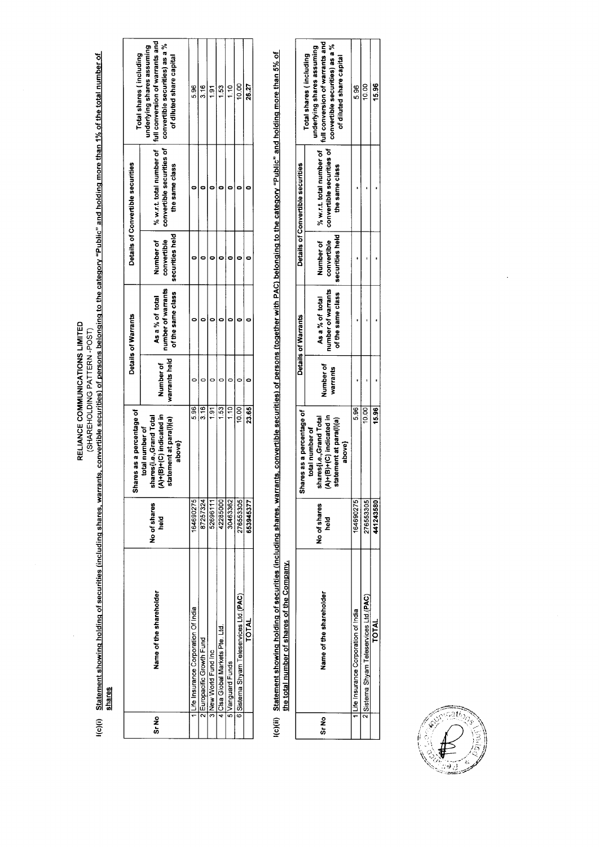RELIANCE COMMUNICATIONS LIMITED<br>(SHARE: PATER Jong to Securities (including shares, warrants, convertible securities) of persons belonging to the category "Public" and holding more than 1% of the total number of<br>Shares

|         |                                        |                      | ires as a percentage of<br>Sha                                                                              |                            | Details of Warrants                                        |                                             | Details of Convertible securities | Total shares (including                                                                                                                                                            |
|---------|----------------------------------------|----------------------|-------------------------------------------------------------------------------------------------------------|----------------------------|------------------------------------------------------------|---------------------------------------------|-----------------------------------|------------------------------------------------------------------------------------------------------------------------------------------------------------------------------------|
| ទី<br>ភ | Name of the shareholder                | No of shares<br>held | (A)+(B)+(C) indicated in<br>lares [i.e., Grand Total<br>tatement at para(l)(a)<br>total number of<br>above} | warrants held<br>Number of | of the same class<br>number of warrants<br>As a % of total | securities held<br>Number of<br>convertible | the same class                    | % w.r.t. total number of   full conversion of warrants and<br>convertible securities of   convertible securities) as a %<br>underlying shares assuming<br>of diluted share capital |
|         | Life Insurance Corporation Of India    | 164690275            | 5.96                                                                                                        |                            |                                                            |                                             |                                   | 96<br>5                                                                                                                                                                            |
|         | 2 Europacific Growth Fund              | 87257324             | 3.16                                                                                                        |                            |                                                            |                                             |                                   | $\frac{6}{3}$                                                                                                                                                                      |
|         | S New World Fund Inc                   | 52696111             | 1.91                                                                                                        |                            |                                                            |                                             |                                   | 51                                                                                                                                                                                 |
|         | Licisa Global Markets Pte. Ltd         | 42285000             | 1.53                                                                                                        |                            |                                                            |                                             |                                   | $\frac{3}{2}$                                                                                                                                                                      |
|         | SiVanguard Funds                       | 30463362             | 1.10                                                                                                        |                            |                                                            |                                             |                                   | ۹<br>T                                                                                                                                                                             |
|         | 6 Sistema Shyam Teleservices Ltd.(PAC) | 276553305            | 10.00                                                                                                       |                            |                                                            |                                             |                                   | 10.00                                                                                                                                                                              |
|         | TOTAL                                  | 653945377            | 23.65                                                                                                       |                            |                                                            |                                             |                                   | 26.27                                                                                                                                                                              |

l(c)(ii) Statement showing holding of securities (including shares, warrants, convertible securities) of persons (together with PAC) belonging to the category "Public" and holding more than 5% of<br>the total number of shares

|        |                                      |                         | ares as a percentage of<br>န္တ                                                                              |                       | Details of Warrants                                                          |             | Details of Convertible securities           |                                                                                                                     |
|--------|--------------------------------------|-------------------------|-------------------------------------------------------------------------------------------------------------|-----------------------|------------------------------------------------------------------------------|-------------|---------------------------------------------|---------------------------------------------------------------------------------------------------------------------|
| ន<br>ត | Name of the shareholder              | No of shares<br>ne<br>P | 4)+(B)+(C) indicated in<br>hares (i.e., Grand Total<br>statement at para(l)(a)<br>total number of<br>above} | Number of<br>warrants | of the same class   securities held<br>number of warrants<br>As a % of total | convertible | convertible securities of<br>the same class | convertible securities) as a %<br>underlying shares assuming<br>Total shares (including<br>of diluted share capital |
|        | Tre Insurance Corporation of India   | 164690275               | 5.96                                                                                                        |                       |                                                                              |             |                                             | 5.96                                                                                                                |
|        | Sistema Shyam Teleservices Ltd.(PAC) | 276553305               | 10.00                                                                                                       |                       |                                                                              |             |                                             | 10.00                                                                                                               |
|        | <b>TOTAL</b>                         | 141243580               | 15.96                                                                                                       |                       |                                                                              |             |                                             | 15.96                                                                                                               |

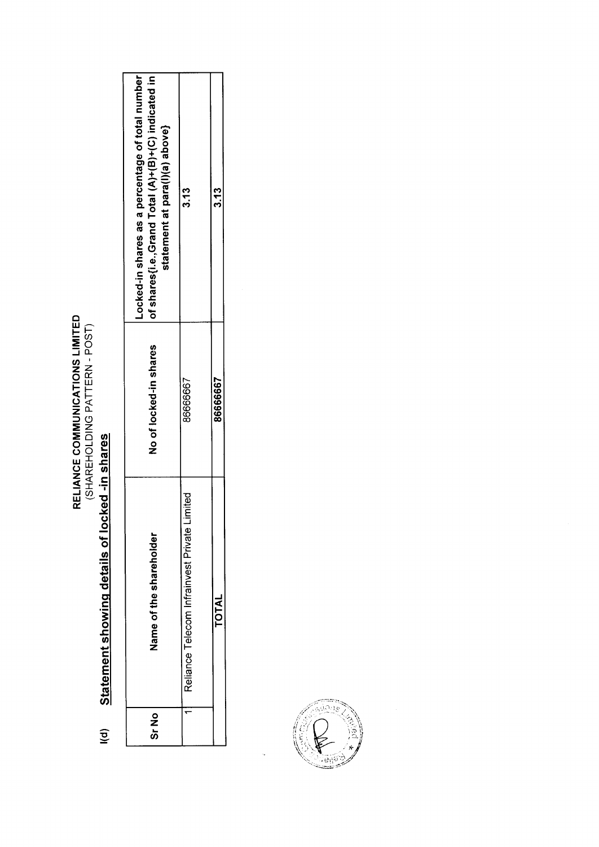RELIANCE COMMUNICATIONS LIMITED<br>(SHAREHOLDING PATTERN - POST)

### Statement showing details of locked -in shares  $\overline{\mathsf{I}}$

| ე<br>ან | Name of the shareholder                         | No of locked-in shares | Locked-in shares as a percentage of total number<br>of shares{i.e.,Grand Total (A)+(B)+(C) indicated in<br>statement at para(l)(a) above} |
|---------|-------------------------------------------------|------------------------|-------------------------------------------------------------------------------------------------------------------------------------------|
|         | Limited<br>Reliance Telecom Infrainvest Private | 8666667                | 3.13                                                                                                                                      |
|         | <b>TOTAL</b>                                    | 86666667               | ი<br>13                                                                                                                                   |

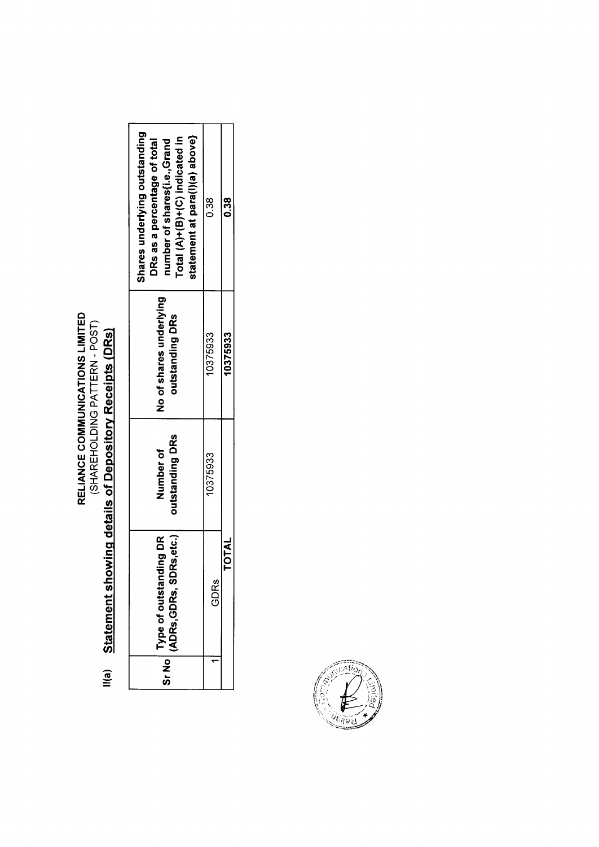## **RELIANCE COMMUNICATIONS LIMITED<br>(SHAREHOLDING PATTERN - POST)**

| .<br>1    |  |
|-----------|--|
| ļ         |  |
|           |  |
|           |  |
|           |  |
|           |  |
| lia)<br>I |  |

| Shares underlying outstanding<br>statement at para(l)(a) above}<br>Total (A)+(B)+(C) indicated in<br>number of shares{i.e.,Grand<br>DRs as a percentage of total | 0.38     | 38<br>0      |
|------------------------------------------------------------------------------------------------------------------------------------------------------------------|----------|--------------|
| No of shares underlying<br>outstanding DRs                                                                                                                       | 10375933 | 10375933     |
| outstanding DRs<br>Number of                                                                                                                                     | 10375933 |              |
| $ \mathsf{^{SrNO}} $ (ADRs, GDRs, SDRs, etc.) $ \mathsf{^{I}}$<br>ding DR<br>Type of outstan                                                                     | GDRs     | <b>TOTAL</b> |
|                                                                                                                                                                  |          |              |

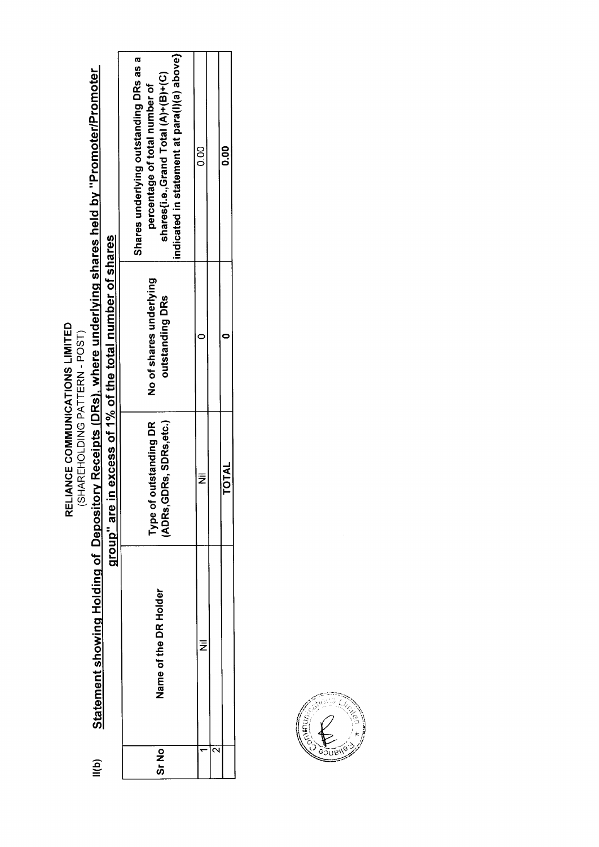RELIANCE COMMUNICATIONS LIMITED<br>(SHAREHOLDING PATTERN - POST)

# Statement showing Holding of Depository Receipts (DRs), where underlying shares held by "Promoter/Promoter group" are in excess of 1% of the total number of shares  $\mathsf{III}(\mathsf{b})$

| 00<br>0.0                                                                                                                                                      |                                            | <b>TOTAL</b>                                            |
|----------------------------------------------------------------------------------------------------------------------------------------------------------------|--------------------------------------------|---------------------------------------------------------|
|                                                                                                                                                                |                                            |                                                         |
| oo<br>O                                                                                                                                                        |                                            | ₹                                                       |
| indicated in statement at para(l)(a) above} <br>Shares underlying outstanding DRs as a<br>shares(i.e.,Grand Total (A)+(B)+(C)<br>percentage of total number of | No of shares underlying<br>outstanding DRs | GDRs, SDRs,etc.)<br>outstanding DR<br>iype of<br>ADRs,C |